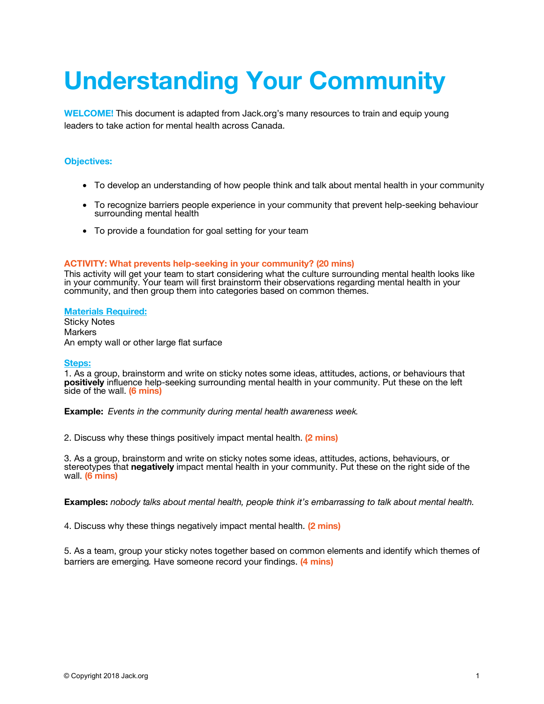# **Understanding Your Community**

**WELCOME!** This document is adapted from Jack.org's many resources to train and equip young leaders to take action for mental health across Canada.

### **Objectives:**

- To develop an understanding of how people think and talk about mental health in your community
- To recognize barriers people experience in your community that prevent help-seeking behaviour surrounding mental health
- To provide a foundation for goal setting for your team

#### **ACTIVITY: What prevents help-seeking in your community? (20 mins)**

This activity will get your team to start considering what the culture surrounding mental health looks like in your community. Your team will first brainstorm their observations regarding mental health in your community, and then group them into categories based on common themes.

#### **Materials Required:**

Sticky Notes **Markers** An empty wall or other large flat surface

#### **Steps:**

1. As a group, brainstorm and write on sticky notes some ideas, attitudes, actions, or behaviours that **positively** influence help-seeking surrounding mental health in your community. Put these on the left side of the wall. **(6 mins)** 

**Example:** *Events in the community during mental health awareness week.* 

2. Discuss why these things positively impact mental health. **(2 mins)**

3. As a group, brainstorm and write on sticky notes some ideas, attitudes, actions, behaviours, or stereotypes that **negatively** impact mental health in your community. Put these on the right side of the wall. **(6 mins)**

**Examples:** *nobody talks about mental health, people think it's embarrassing to talk about mental health.*

4. Discuss why these things negatively impact mental health. **(2 mins)**

5. As a team, group your sticky notes together based on common elements and identify which themes of barriers are emerging*.* Have someone record your findings. **(4 mins)**